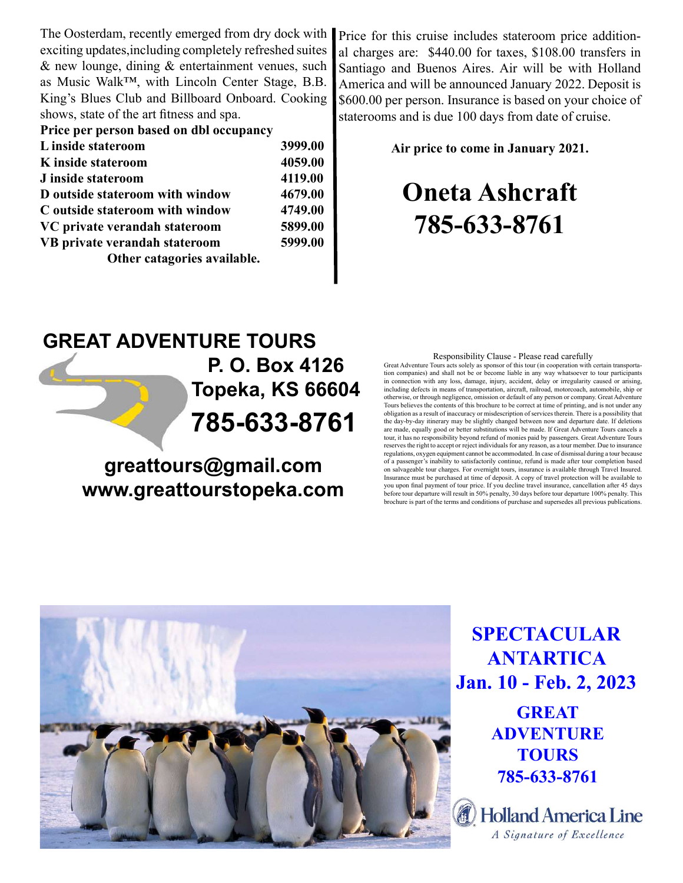The Oosterdam, recently emerged from dry dock with exciting updates,including completely refreshed suites & new lounge, dining & entertainment venues, such as Music Walk™, with Lincoln Center Stage, B.B. King's Blues Club and Billboard Onboard. Cooking shows, state of the art fitness and spa.

| Price per person based on dbl occupancy |         |
|-----------------------------------------|---------|
| L inside stateroom                      | 3999.00 |
| K inside stateroom                      | 4059.00 |
| J inside stateroom                      | 4119.00 |
| D outside stateroom with window         | 4679.00 |
| C outside stateroom with window         | 4749.00 |
| VC private verandah stateroom           | 5899.00 |
| VB private verandah stateroom           | 5999.00 |
| Other catagories available.             |         |

Price for this cruise includes stateroom price additional charges are: \$440.00 for taxes, \$108.00 transfers in Santiago and Buenos Aires. Air will be with Holland America and will be announced January 2022. Deposit is \$600.00 per person. Insurance is based on your choice of staterooms and is due 100 days from date of cruise.

Air price to come in January 2021.

# Oneta Ashcraft 785-633-8761

## GREAT ADVENTURE TOURS 785-633-8761 P. O. Box 4126 Topeka, KS 66604

greattours@gmail.com www.greattourstopeka.com

#### Responsibility Clause - Please read carefully

Great Adventure Tours acts solely as sponsor of this tour (in cooperation with certain transportation companies) and shall not be or become liable in any way whatsoever to tour participants in connection with any loss, damage, injury, accident, delay or irregularity caused or arising, including defects in means of transportation, aircraft, railroad, motorcoach, automobile, ship or otherwise, or through negligence, omission or default of any person or company. Great Adventure Tours believes the contents of this brochure to be correct at time of printing, and is not under any obligation as a result of inaccuracy or misdescription of services therein. There is a possibility that the day-by-day itinerary may be slightly changed between now and departure date. If deletions are made, equally good or better substitutions will be made. If Great Adventure Tours cancels a tour, it has no responsibility beyond refund of monies paid by passengers. Great Adventure Tours reserves the right to accept or reject individuals for any reason, as a tour member. Due to insurance regulations, oxygen equipment cannot be accommodated. In case of dismissal during a tour because of a passenger's inability to satisfactorily continue, refund is made after tour completion based on salvageable tour charges. For overnight tours, insurance is available through Travel Insured. Insurance must be purchased at time of deposit. A copy of travel protection will be available to you upon final payment of tour price. If you decline travel insurance, cancellation after 45 days before tour departure will result in 50% penalty, 30 days before tour departure 100% penalty. This brochure is part of the terms and conditions of purchase and supersedes all previous publications.



SPECTACULAR ANTARTICA Jan. 10 - Feb. 2, 2023

> **GREAT** ADVENTURE **TOURS** 785-633-8761

**Holland America Line** A Signature of Excellence